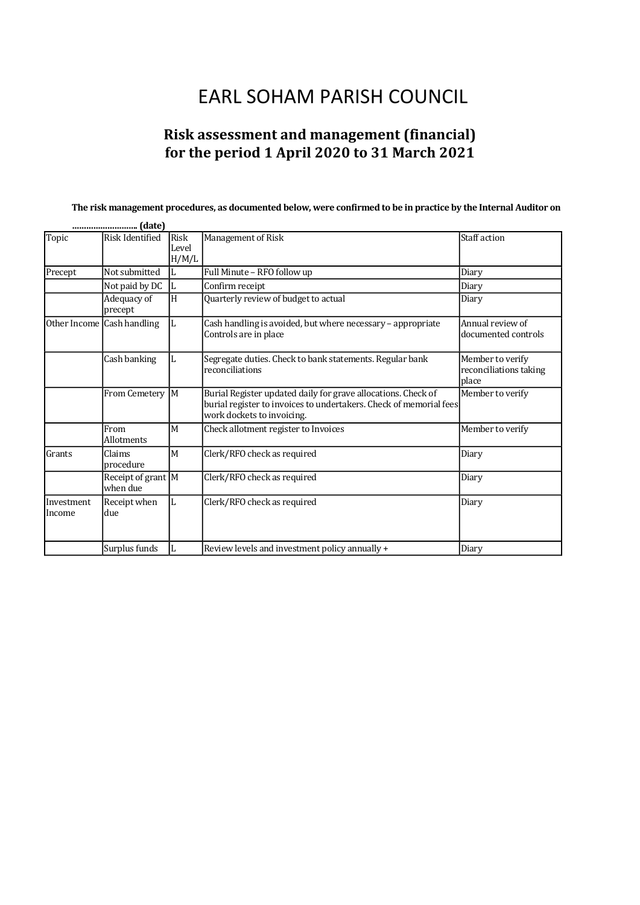# **EARL SOHAM PARISH COUNCIL**

## **Risk assessment and management (financial)** for the period 1 April 2020 to 31 March 2021

#### The risk management procedures, as documented below, were confirmed to be in practice by the Internal Auditor on

|                      | (date)<br>                     |                               |                                                                                                                                                                   |                                                     |  |
|----------------------|--------------------------------|-------------------------------|-------------------------------------------------------------------------------------------------------------------------------------------------------------------|-----------------------------------------------------|--|
| Topic                | Risk Identified                | <b>Risk</b><br>Level<br>H/M/L | Management of Risk                                                                                                                                                | Staff action                                        |  |
| Precept              | Not submitted                  | L                             | Full Minute - RFO follow up                                                                                                                                       | Diary                                               |  |
|                      | Not paid by DC                 | L                             | Confirm receipt                                                                                                                                                   | Diary                                               |  |
|                      | Adequacy of<br>precept         | H                             | Quarterly review of budget to actual                                                                                                                              | Diary                                               |  |
|                      | Other Income Cash handling     | L                             | Cash handling is avoided, but where necessary - appropriate<br>Controls are in place                                                                              | Annual review of<br>documented controls             |  |
|                      | Cash banking                   |                               | Segregate duties. Check to bank statements. Regular bank<br>reconciliations                                                                                       | Member to verify<br>reconciliations taking<br>place |  |
|                      | From Cemetery                  | M                             | Burial Register updated daily for grave allocations. Check of<br>burial register to invoices to undertakers. Check of memorial fees<br>work dockets to invoicing. | Member to verify                                    |  |
|                      | From<br>Allotments             | M                             | Check allotment register to Invoices                                                                                                                              | Member to verify                                    |  |
| Grants               | Claims<br>procedure            | M                             | Clerk/RFO check as required                                                                                                                                       | Diary                                               |  |
|                      | Receipt of grant M<br>when due |                               | Clerk/RFO check as required                                                                                                                                       | Diary                                               |  |
| Investment<br>Income | Receipt when<br>due            | L                             | Clerk/RFO check as required                                                                                                                                       | Diary                                               |  |
|                      | Surplus funds                  | L                             | Review levels and investment policy annually +                                                                                                                    | Diary                                               |  |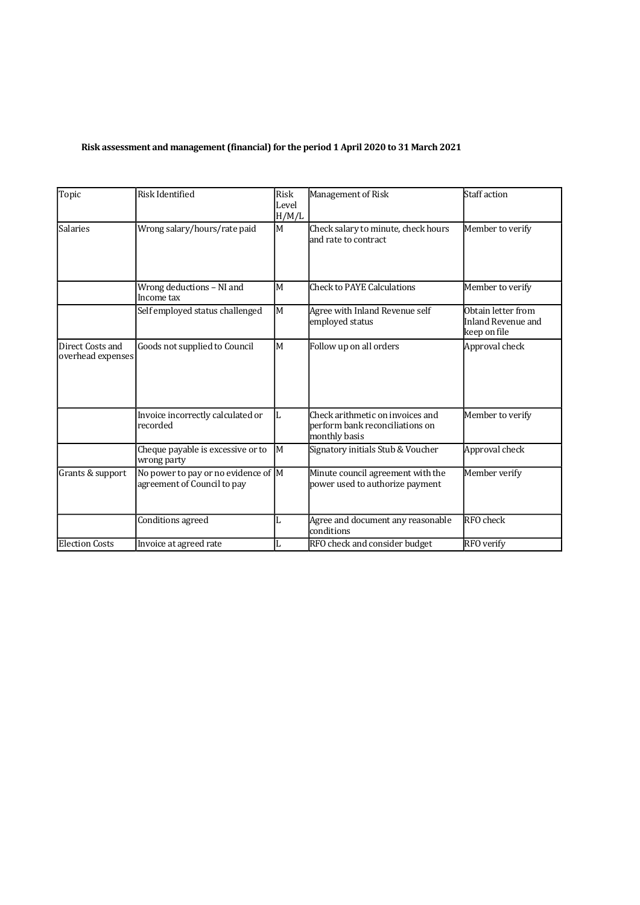## Risk assessment and management (financial) for the period 1 April 2020 to 31 March 2021

| Topic                                 | <b>Risk Identified</b>                                             | Risk<br>Level<br>H/M/L | Management of Risk                                                                   | <b>Staff</b> action                                      |
|---------------------------------------|--------------------------------------------------------------------|------------------------|--------------------------------------------------------------------------------------|----------------------------------------------------------|
| <b>Salaries</b>                       | Wrong salary/hours/rate paid                                       | $\mathbf M$            | Check salary to minute, check hours<br>and rate to contract                          | Member to verify                                         |
|                                       | Wrong deductions - NI and<br>Income tax                            | M                      | <b>Check to PAYE Calculations</b>                                                    | Member to verify                                         |
|                                       | Self employed status challenged                                    | M                      | Agree with Inland Revenue self<br>employed status                                    | Obtain letter from<br>Inland Revenue and<br>keep on file |
| Direct Costs and<br>overhead expenses | Goods not supplied to Council                                      | M                      | Follow up on all orders                                                              | Approval check                                           |
|                                       | Invoice incorrectly calculated or<br>recorded                      | L                      | Check arithmetic on invoices and<br>perform bank reconciliations on<br>monthly basis | Member to verify                                         |
|                                       | Cheque payable is excessive or to<br>wrong party                   | M                      | Signatory initials Stub & Voucher                                                    | Approval check                                           |
| Grants & support                      | No power to pay or no evidence of M<br>agreement of Council to pay |                        | Minute council agreement with the<br>power used to authorize payment                 | Member verify                                            |
|                                       | Conditions agreed                                                  | L                      | Agree and document any reasonable<br>conditions                                      | RFO check                                                |
| <b>Election Costs</b>                 | Invoice at agreed rate                                             | L                      | RFO check and consider budget                                                        | RFO verify                                               |